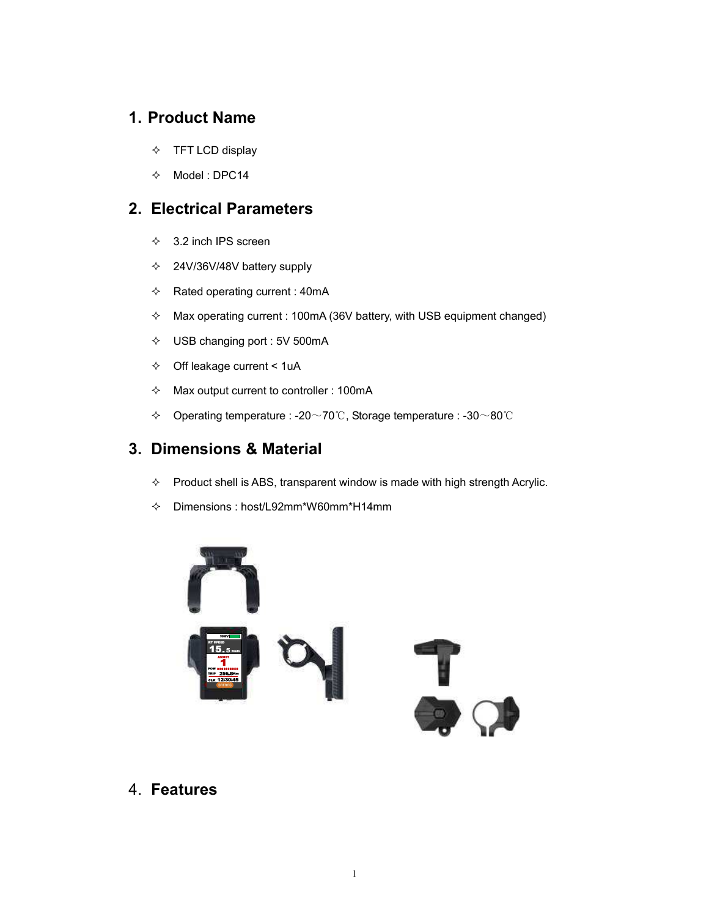### **1. Product Name**

- $\div$  TFT LCD display
- $\div$  Model : DPC14

### **2. Electrical Parameters**

- $\div$  3.2 inch IPS screen
- $\div$  24V/36V/48V battery supply
- $\Leftrightarrow$  Rated operating current : 40mA
- $\div$  Max operating current : 100mA (36V battery, with USB equipment changed)
- $\div$  USB changing port : 5V 500mA
- $\div$  Off leakage current < 1uA
- $\Diamond$  Max output current to controller : 100mA
- ! Operating temperature : -20~70℃, Storage temperature : -30~80℃

### **3. Dimensions & Material**

- $\div$  Product shell is ABS, transparent window is made with high strength Acrylic.
- $\div$  Dimensions : host/L92mm\*W60mm\*H14mm



4. **Features**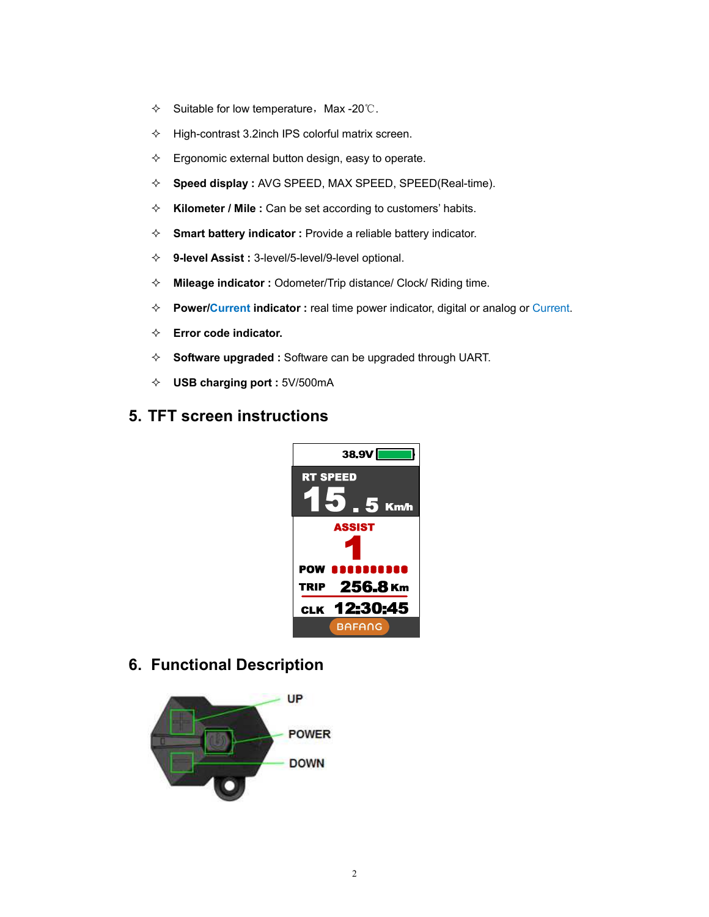- $\div$  Suitable for low temperature, Max -20℃.
- $\div$  High-contrast 3.2inch IPS colorful matrix screen.
- $\Diamond$  Ergonomic external button design, easy to operate.
- ! **Speed display :** AVG SPEED, MAX SPEED, SPEED(Real-time).
- ! **Kilometer / Mile :** Can be set according to customers' habits.
- ! **Smart battery indicator :** Provide a reliable battery indicator.
- ! **9-level Assist :** 3-level/5-level/9-level optional.
- ! **Mileage indicator :** Odometer/Trip distance/ Clock/ Riding time.
- ! **Power/Current indicator :** real time power indicator, digital or analog or Current.
- $\Leftrightarrow$  **Error code indicator.**
- ! **Software upgraded :** Software can be upgraded through UART.
- ! **USB charging port :** 5V/500mA

### **5. TFT screen instructions**



**6. Functional Description** 

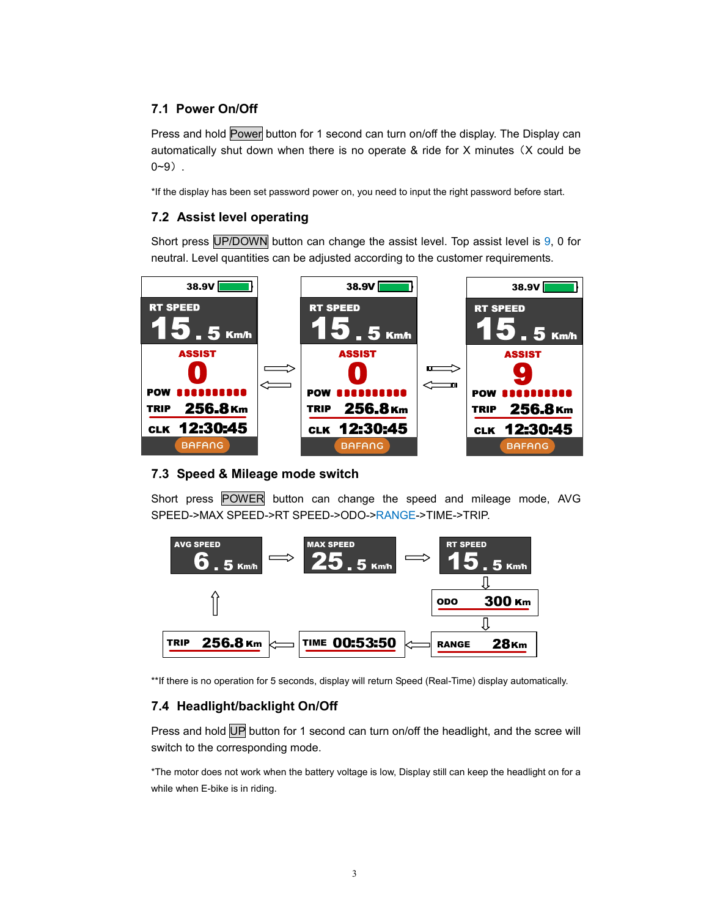### **7.1 Power On/Off**

Press and hold Power button for 1 second can turn on/off the display. The Display can automatically shut down when there is no operate & ride for X minutes (X could be 0~9).

\*If the display has been set password power on, you need to input the right password before start.

### **7.2 Assist level operating**

Short press UP/DOWN button can change the assist level. Top assist level is 9, 0 for neutral. Level quantities can be adjusted according to the customer requirements.



#### **7.3 Speed & Mileage mode switch**

Short press POWER button can change the speed and mileage mode, AVG SPEED->MAX SPEED->RT SPEED->ODO->RANGE->TIME->TRIP.



\*\*If there is no operation for 5 seconds, display will return Speed (Real-Time) display automatically.

### **7.4 Headlight/backlight On/Off**

Press and hold UP button for 1 second can turn on/off the headlight, and the scree will switch to the corresponding mode.

\*The motor does not work when the battery voltage is low, Display still can keep the headlight on for a while when E-bike is in riding.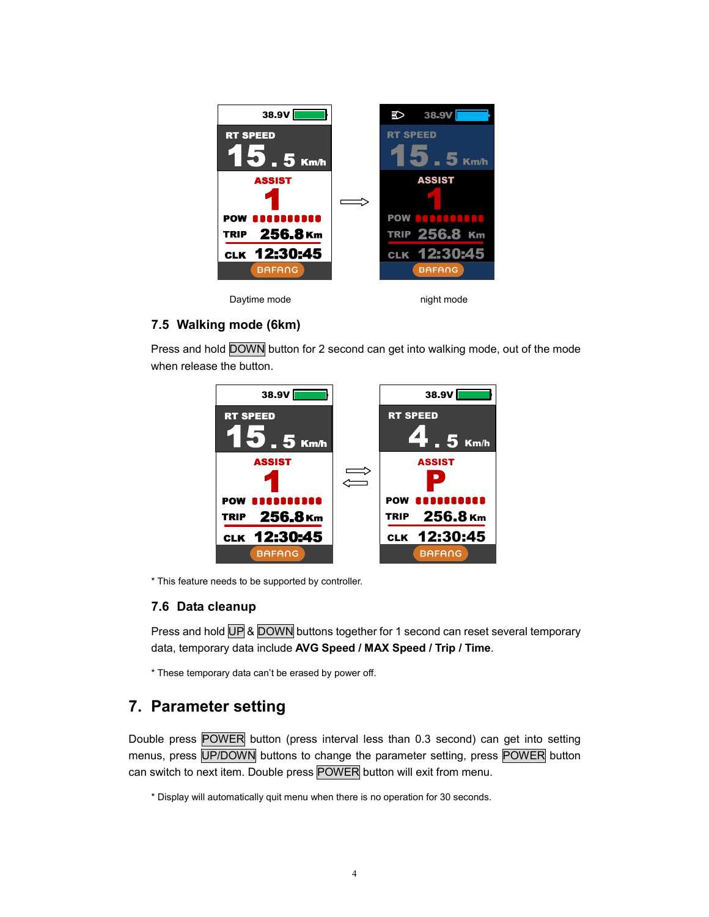

### **7.5 Walking mode (6km)**

Press and hold DOWN button for 2 second can get into walking mode, out of the mode when release the button.



\* This feature needs to be supported by controller.

#### **7.6 Data cleanup**

Press and hold UP & DOWN buttons together for 1 second can reset several temporary data, temporary data include **AVG Speed / MAX Speed / Trip / Time**.

\* These temporary data can't be erased by power off.

### **7. Parameter setting**

Double press POWER button (press interval less than 0.3 second) can get into setting menus, press UP/DOWN buttons to change the parameter setting, press POWER button can switch to next item. Double press POWER button will exit from menu.

\* Display will automatically quit menu when there is no operation for 30 seconds.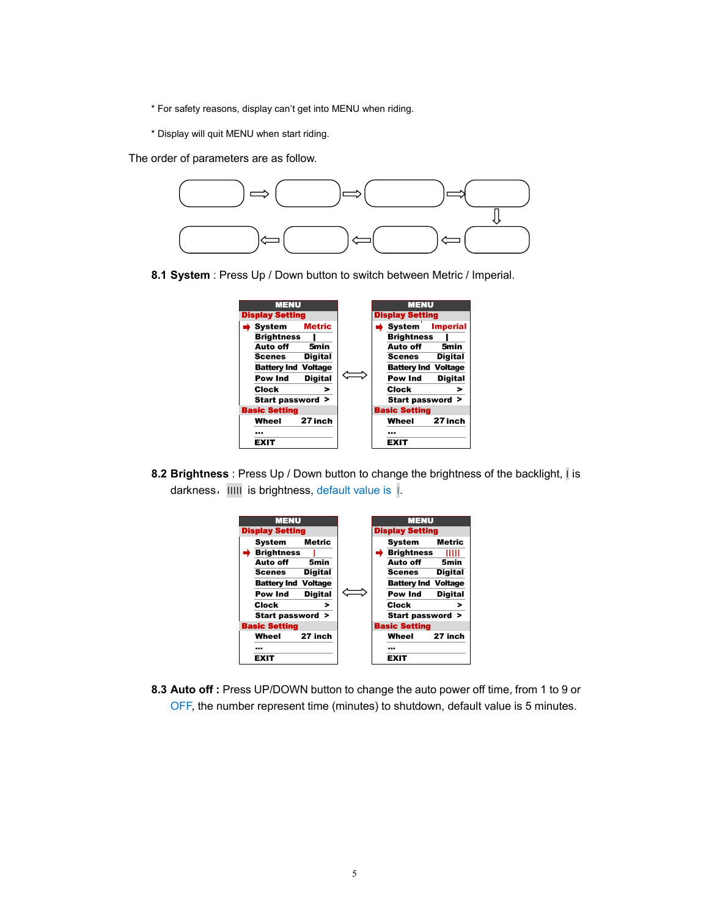- \* For safety reasons, display can't get into MENU when riding.
- \* Display will quit MENU when start riding.

The order of parameters are as follow.



**8.1 System** : Press Up / Down button to switch between Metric / Imperial.



**8.2 Brightness** : Press Up / Down button to change the brightness of the backlight, ׀ is darkness,׀׀׀׀׀ is brightness, default value is ׀.



**8.3 Auto off :** Press UP/DOWN button to change the auto power off time, from 1 to 9 or OFF, the number represent time (minutes) to shutdown, default value is 5 minutes.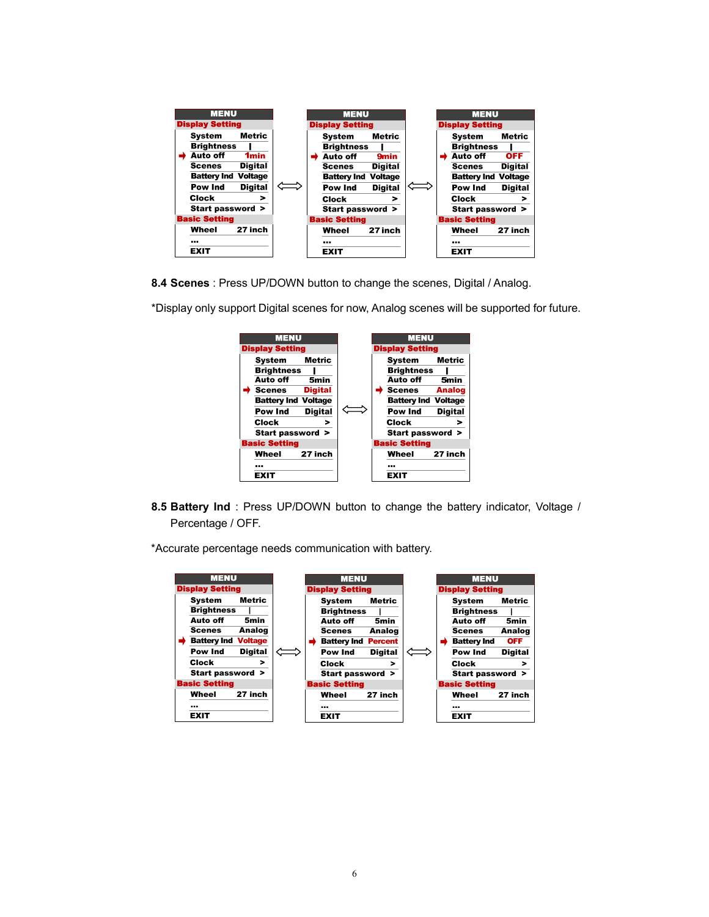

**8.4 Scenes** : Press UP/DOWN button to change the scenes, Digital / Analog.



\*Display only support Digital scenes for now, Analog scenes will be supported for future.

**8.5 Battery Ind** : Press UP/DOWN button to change the battery indicator, Voltage / Percentage / OFF.

\*Accurate percentage needs communication with battery.

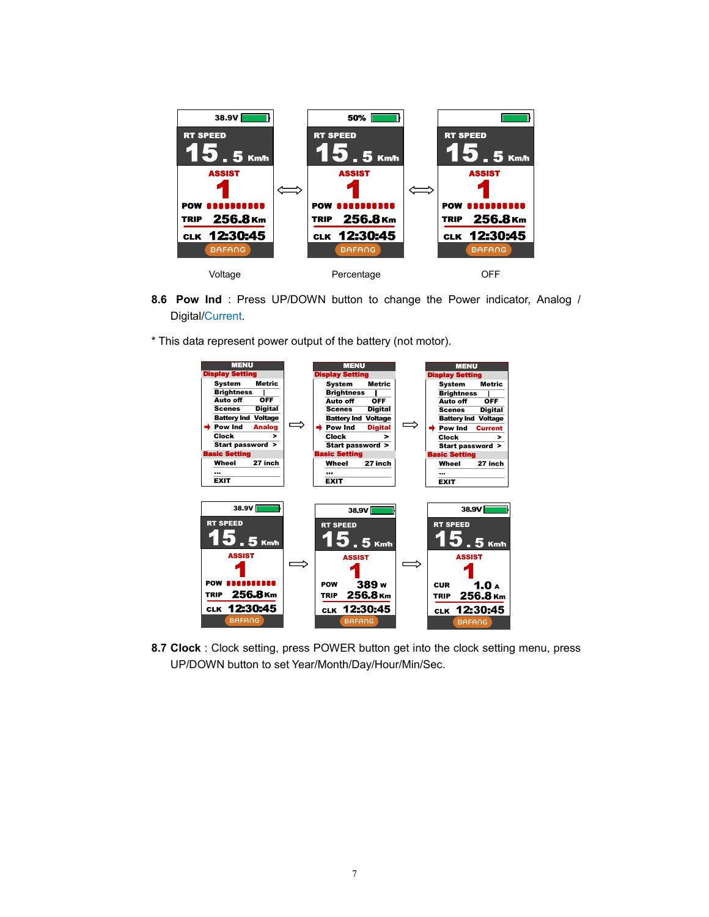

- **8.6 Pow Ind** : Press UP/DOWN button to change the Power indicator, Analog / Digital/Current.
- \* This data represent power output of the battery (not motor).



**8.7 Clock** : Clock setting, press POWER button get into the clock setting menu, press UP/DOWN button to set Year/Month/Day/Hour/Min/Sec.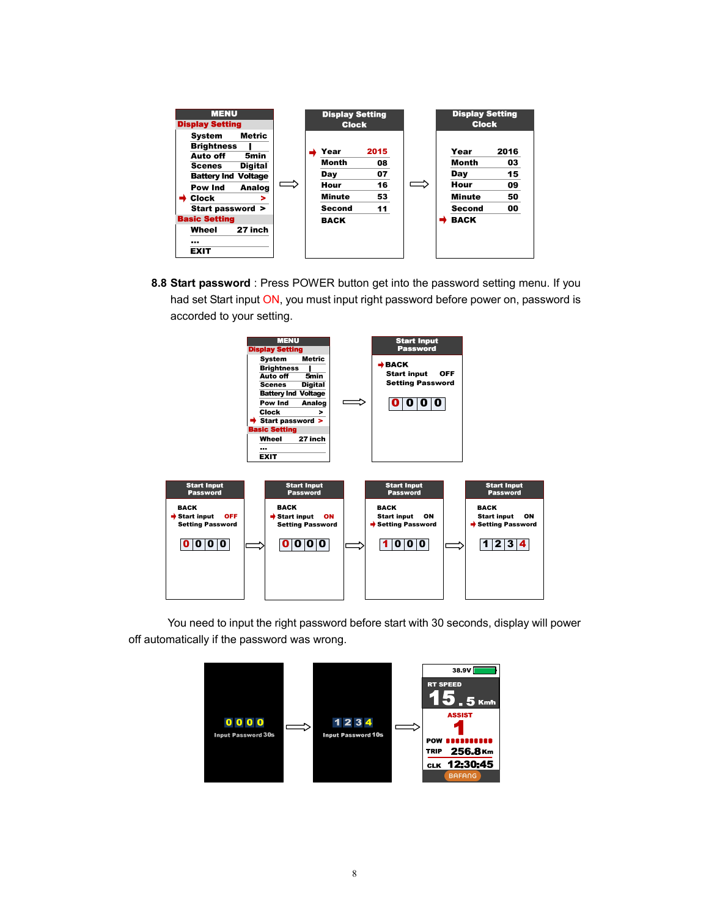

**8.8 Start password** : Press POWER button get into the password setting menu. If you had set Start input ON, you must input right password before power on, password is accorded to your setting.



 You need to input the right password before start with 30 seconds, display will power off automatically if the password was wrong.

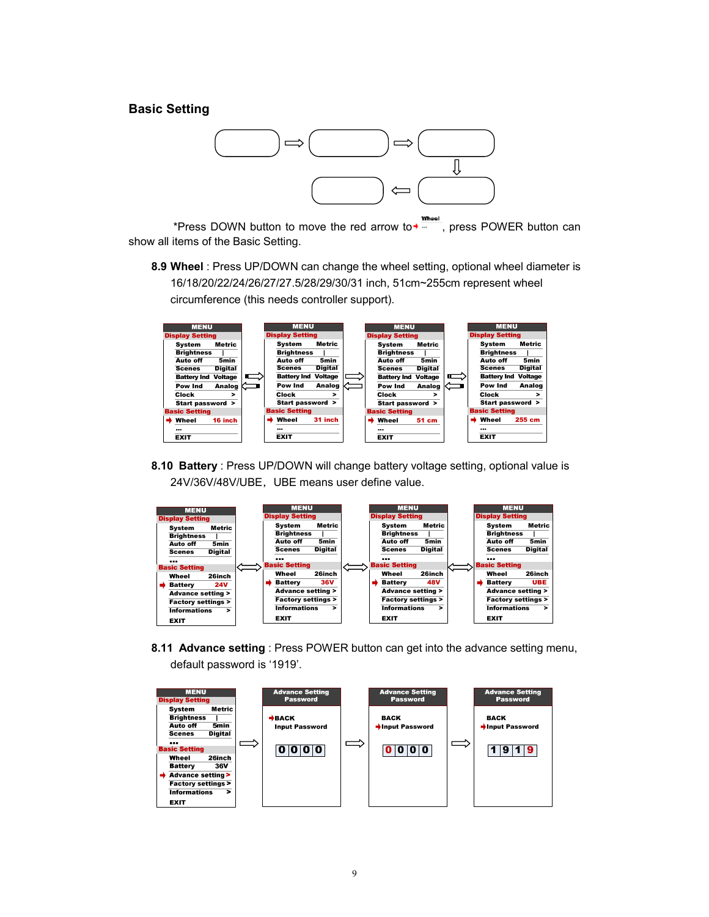#### **Basic Setting**



Whee \*Press DOWN button to move the red arrow to  $\overline{A}$ , press POWER button can show all items of the Basic Setting.

**8.9 Wheel** : Press UP/DOWN can change the wheel setting, optional wheel diameter is 16/18/20/22/24/26/27/27.5/28/29/30/31 inch, 51cm~255cm represent wheel circumference (this needs controller support).



**8.10 Battery** : Press UP/DOWN will change battery voltage setting, optional value is 24V/36V/48V/UBE, UBE means user define value.



**8.11 Advance setting** : Press POWER button can get into the advance setting menu, default password is '1919'.

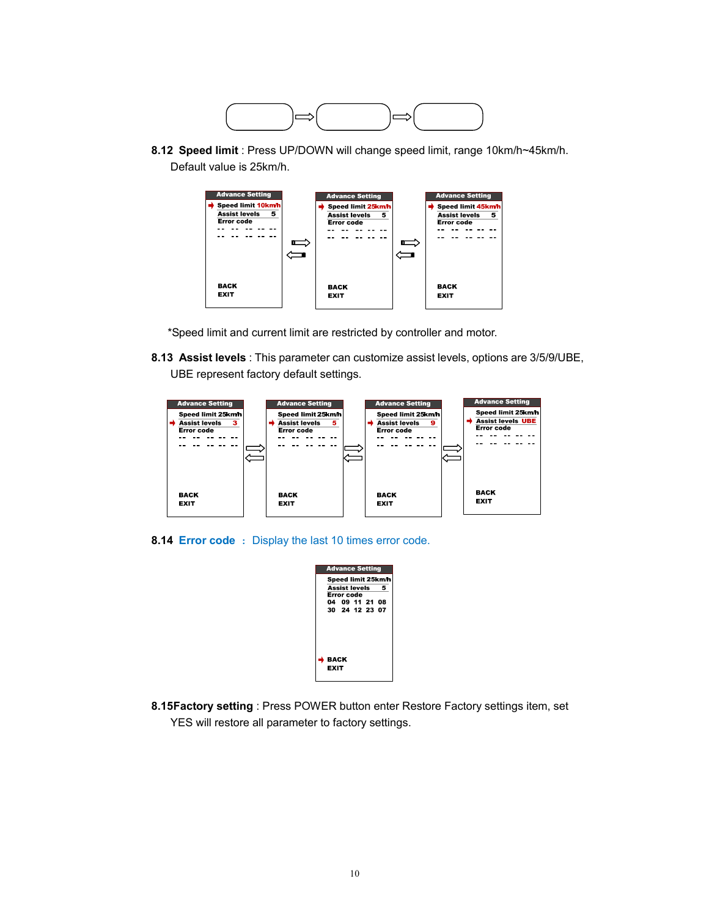

**8.12 Speed limit** : Press UP/DOWN will change speed limit, range 10km/h~45km/h. Default value is 25km/h.



\*Speed limit and current limit are restricted by controller and motor.

**8.13 Assist levels** : This parameter can customize assist levels, options are 3/5/9/UBE, UBE represent factory default settings.



**8.14 Error code** : Display the last 10 times error code.

| <b>Advance Setting</b><br>Speed limit 25km/h<br>Assist levels<br>5<br>Error code |                |  |  |  |
|----------------------------------------------------------------------------------|----------------|--|--|--|
| 04 09 11 21 08                                                                   |                |  |  |  |
|                                                                                  | 30 24 12 23 07 |  |  |  |
|                                                                                  |                |  |  |  |
| BACK                                                                             |                |  |  |  |
| EXIT                                                                             |                |  |  |  |

**8.15 Factory setting** : Press POWER button enter Restore Factory settings item, set YES will restore all parameter to factory settings.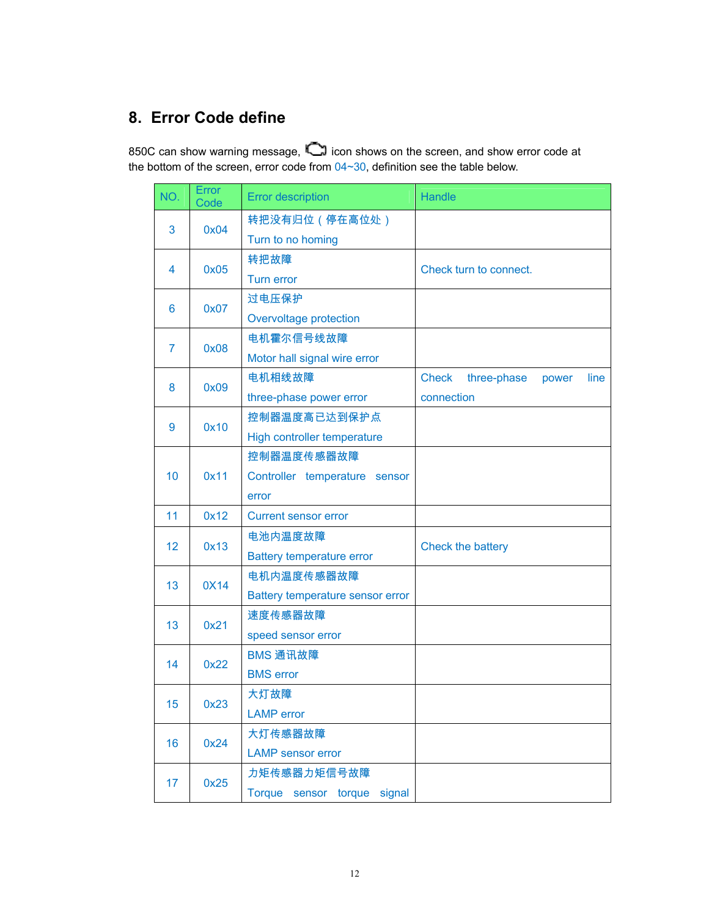# **8. Error Code define**

850C can show warning message, **icon shows on the screen, and show error code at** the bottom of the screen, error code from  $04 \sim 30$ , definition see the table below.

| NO.            | Error<br>Code | <b>Error description</b>         | <b>Handle</b>                                |  |  |
|----------------|---------------|----------------------------------|----------------------------------------------|--|--|
| 3              | 0x04          | 转把没有归位 (停在高位处)                   |                                              |  |  |
|                |               | Turn to no homing                |                                              |  |  |
| $\overline{4}$ | 0x05          | 转把故障                             | Check turn to connect.                       |  |  |
|                |               | Turn error                       |                                              |  |  |
| 6              | 0x07          | 过电压保护                            |                                              |  |  |
|                |               | Overvoltage protection           |                                              |  |  |
| $\overline{7}$ | 0x08          | 电机霍尔信号线故障                        |                                              |  |  |
|                |               | Motor hall signal wire error     |                                              |  |  |
| 8              | 0x09          | 电机相线故障                           | <b>Check</b><br>three-phase<br>line<br>power |  |  |
|                |               | three-phase power error          | connection                                   |  |  |
| 9              | 0x10          | 控制器温度高已达到保护点                     |                                              |  |  |
|                |               | High controller temperature      |                                              |  |  |
|                | 0x11          | 控制器温度传感器故障                       |                                              |  |  |
| 10             |               | Controller temperature sensor    |                                              |  |  |
|                |               | error                            |                                              |  |  |
| 11             | 0x12          | <b>Current sensor error</b>      |                                              |  |  |
| 12             | 0x13          | 电池内温度故障                          | Check the battery                            |  |  |
|                |               | <b>Battery temperature error</b> |                                              |  |  |
| 13             | 0X14          | 电机内温度传感器故障                       |                                              |  |  |
|                |               | Battery temperature sensor error |                                              |  |  |
| 13             | 0x21          | 速度传感器故障                          |                                              |  |  |
|                |               | speed sensor error               |                                              |  |  |
| 14             | 0x22          | BMS 通讯故障                         |                                              |  |  |
|                |               | <b>BMS</b> error                 |                                              |  |  |
| 15             | 0x23          | 大灯故障                             |                                              |  |  |
|                |               | <b>LAMP</b> error                |                                              |  |  |
| 16             | 0x24          | 大灯传感器故障                          |                                              |  |  |
|                |               | <b>LAMP</b> sensor error         |                                              |  |  |
| 17             | 0x25          | 力矩传感器力矩信号故障                      |                                              |  |  |
|                |               | Torque sensor torque<br>signal   |                                              |  |  |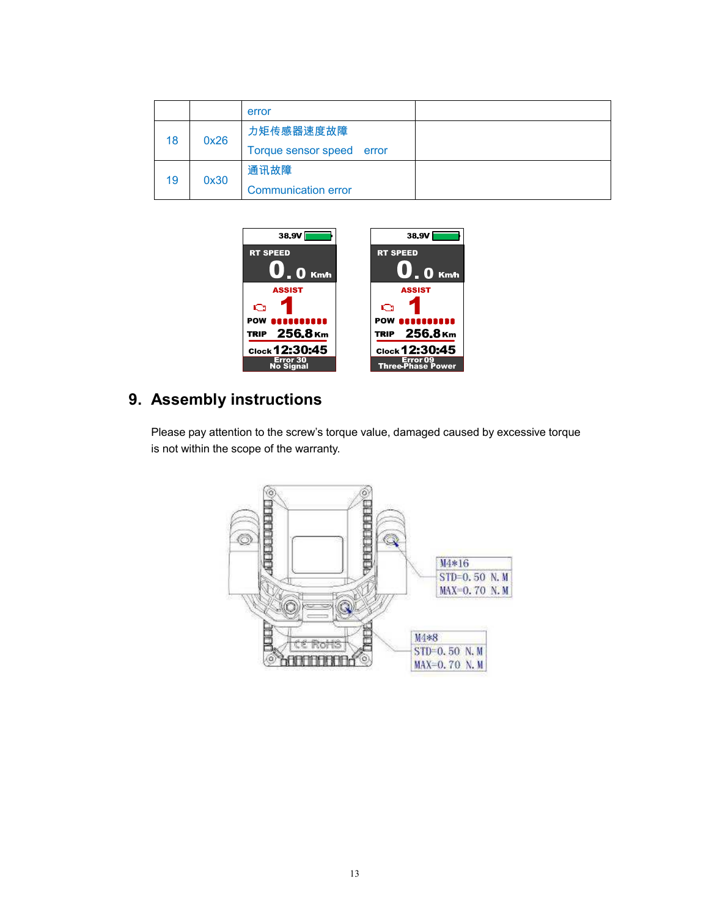|    |      | error                        |  |
|----|------|------------------------------|--|
| 18 | 0x26 | 力矩传感器速度故障                    |  |
|    |      | Torque sensor speed<br>error |  |
| 19 | 0x30 | 通讯故障                         |  |
|    |      | <b>Communication error</b>   |  |



## **9. Assembly instructions**

Please pay attention to the screw's torque value, damaged caused by excessive torque is not within the scope of the warranty.

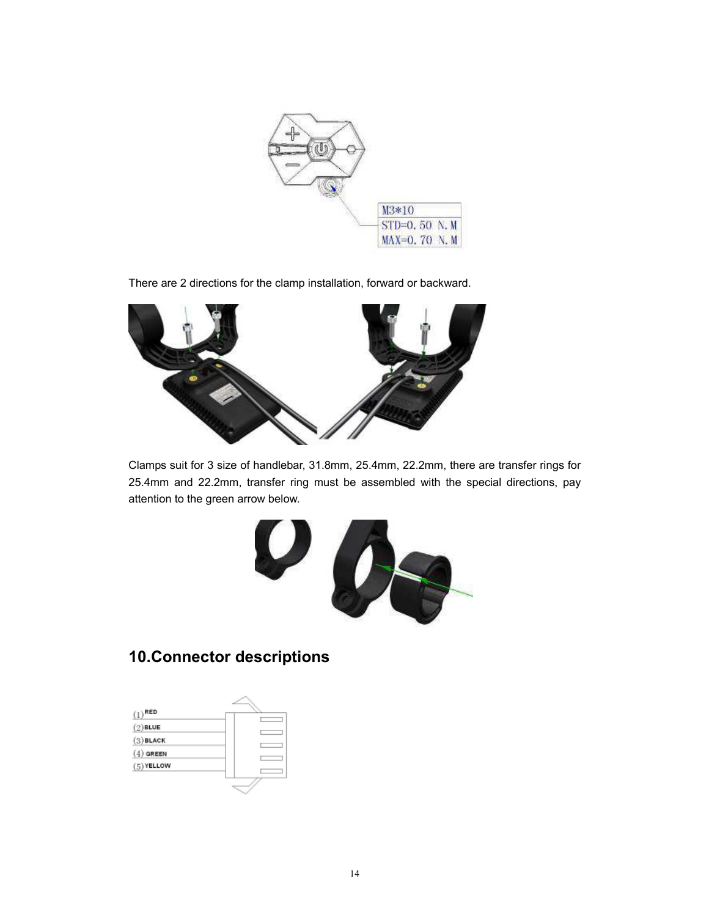

There are 2 directions for the clamp installation, forward or backward.



Clamps suit for 3 size of handlebar, 31.8mm, 25.4mm, 22.2mm, there are transfer rings for 25.4mm and 22.2mm, transfer ring must be assembled with the special directions, pay attention to the green arrow below.



## **10. Connector descriptions**